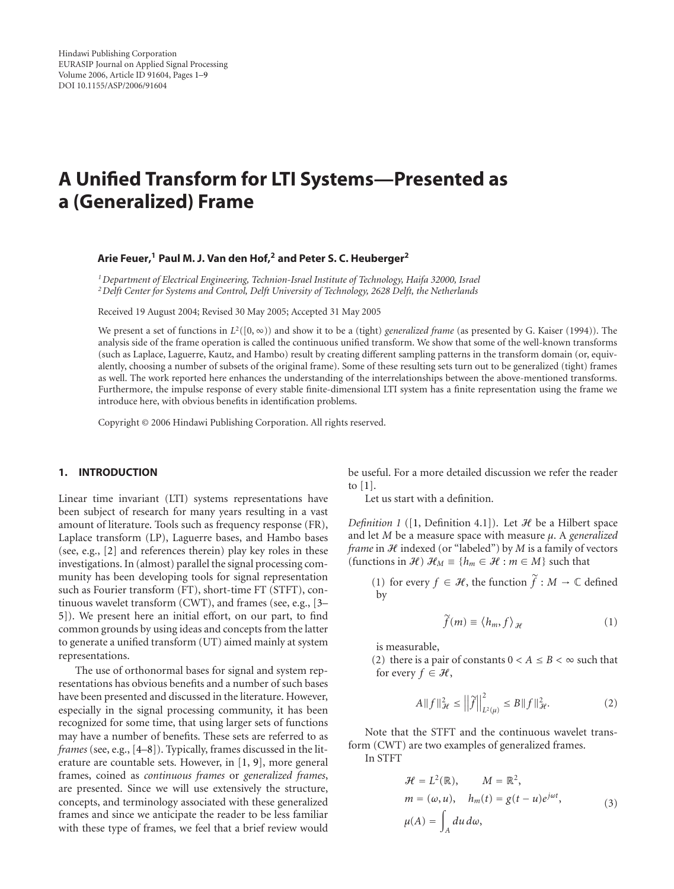# <span id="page-0-0"></span>**A Unified Transform for LTI Systems—Presented as a (Generalized) Frame**

# **Arie Feuer,1 Paul M. J. Van den Hof,2 and Peter S. C. Heuberger2**

*1Department of Electrical Engineering, Technion-Israel Institute of Technology, Haifa 32000, Israel 2Delft Center for Systems and Control, Delft University of Technology, 2628 Delft, the Netherlands*

Received 19 August 2004; Revised 30 May 2005; Accepted 31 May 2005

We present a set of functions in  $L^2([0, \infty))$  and show it to be a (tight) *generalized frame* (as presented by G. Kaiser (1994)). The analysis side of the frame operation is called the continuous unified transform. We show that some of the well-known transforms (such as Laplace, Laguerre, Kautz, and Hambo) result by creating different sampling patterns in the transform domain (or, equivalently, choosing a number of subsets of the original frame). Some of these resulting sets turn out to be generalized (tight) frames as well. The work reported here enhances the understanding of the interrelationships between the above-mentioned transforms. Furthermore, the impulse response of every stable finite-dimensional LTI system has a finite representation using the frame we introduce here, with obvious benefits in identification problems.

Copyright © 2006 Hindawi Publishing Corporation. All rights reserved.

# **1. INTRODUCTION**

Linear time invariant (LTI) systems representations have been subject of research for many years resulting in a vast amount of literature. Tools such as frequency response (FR), Laplace transform (LP), Laguerre bases, and Hambo bases (see, e.g., [\[2\]](#page-7-0) and references therein) play key roles in these investigations. In (almost) parallel the signal processing community has been developing tools for signal representation such as Fourier transform (FT), short-time FT (STFT), continuous wavelet transform (CWT), and frames (see, e.g., [\[3](#page-7-0)– [5\]](#page-7-0)). We present here an initial effort, on our part, to find common grounds by using ideas and concepts from the latter to generate a unified transform (UT) aimed mainly at system representations.

The use of orthonormal bases for signal and system representations has obvious benefits and a number of such bases have been presented and discussed in the literature. However, especially in the signal processing community, it has been recognized for some time, that using larger sets of functions may have a number of benefits. These sets are referred to as *frames* (see, e.g., [\[4–8\]](#page-7-0)). Typically, frames discussed in the literature are countable sets. However, in [\[1](#page-7-0), [9](#page-7-0)], more general frames, coined as *continuous frames* or *generalized frames*, are presented. Since we will use extensively the structure, concepts, and terminology associated with these generalized frames and since we anticipate the reader to be less familiar with these type of frames, we feel that a brief review would be useful. For a more detailed discussion we refer the reader to [\[1](#page-7-0)].

Let us start with a definition.

*Definition 1* ([\[1,](#page-7-0) Definition 4.1]). Let  $H$  be a Hilbert space and let *M* be a measure space with measure *μ*. A *generalized frame* in  $H$  indexed (or "labeled") by  $M$  is a family of vectors (functions in  $\mathcal{H}$ )  $\mathcal{H}_M \equiv \{h_m \in \mathcal{H} : m \in M\}$  such that

*e* in *H* indexed (or "labeled") by *M* is a family of vectors<br>tions in *H*)  $\mathcal{H}_M \equiv \{h_m \in \mathcal{H} : m \in M\}$  such that<br>(1) for every  $f \in \mathcal{H}$ , the function  $\tilde{f} : M \to \mathbb{C}$  defined<br>by<br> $\tilde{f}(m) \equiv \langle h_m, f \rangle_{\mathcal{H}}$  (1) by

$$
\widetilde{f}(m) \equiv \langle h_m, f \rangle_{\mathcal{H}} \tag{1}
$$

is measurable,

(2) there is a pair of constants  $0 < A \leq B < \infty$  such that for every  $f \in \mathcal{H}$ ,

$$
f \in \mathcal{H},
$$
  
\n
$$
A \|f\|_{\mathcal{H}}^2 \le \left\|\tilde{f}\right\|_{L^2(\mu)}^2 \le B \|f\|_{\mathcal{H}}^2.
$$
\n(2)

Note that the STFT and the continuous wavelet transform (CWT) are two examples of generalized frames. In STFT

$$
\mathcal{H} = L^{2}(\mathbb{R}), \qquad M = \mathbb{R}^{2},
$$
  
\n
$$
m = (\omega, u), \quad h_{m}(t) = g(t - u)e^{j\omega t},
$$
  
\n
$$
\mu(A) = \int_{A} du \, d\omega,
$$
\n(3)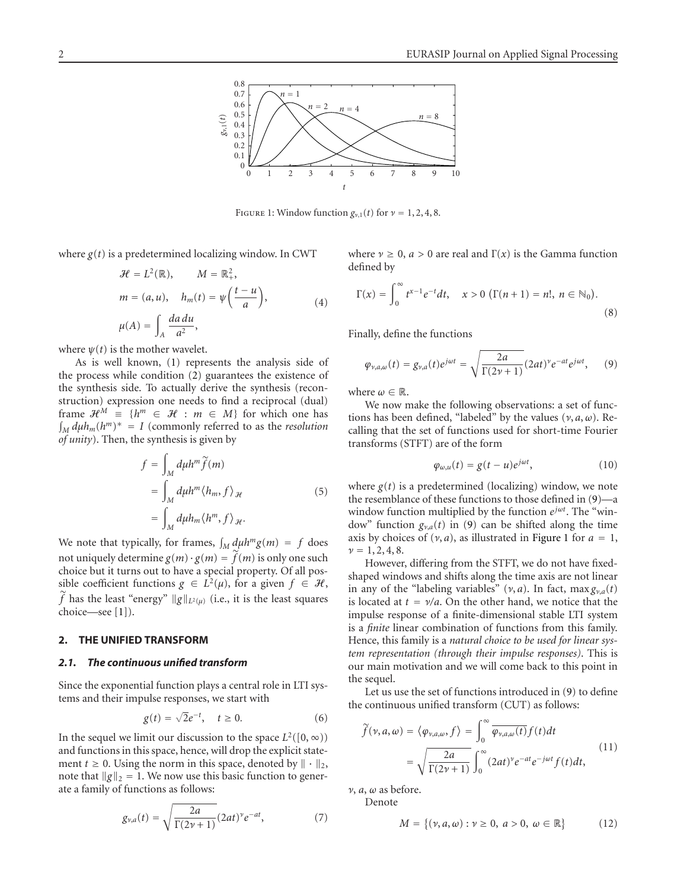<span id="page-1-0"></span>

FIGURE 1: Window function  $g_{\nu,1}(t)$  for  $\nu = 1, 2, 4, 8$ .

where *g*(*t*) is a predetermined localizing window. In CWT

$$
\mathcal{H} = L^{2}(\mathbb{R}), \qquad M = \mathbb{R}^{2}_{+},
$$
\n
$$
m = (a, u), \quad h_{m}(t) = \psi\left(\frac{t - u}{a}\right),
$$
\n
$$
\mu(A) = \int_{A} \frac{da \, du}{a^{2}},
$$
\n(4)

where  $\psi(t)$  is the mother wavelet.

As is well known, [\(1\)](#page-0-0) represents the analysis side of the process while condition [\(2\)](#page-0-0) guarantees the existence of the synthesis side. To actually derive the synthesis (recon struction) expression one needs to find a reciprocal (dual) frame  $\mathcal{H}^M \equiv \{h^m \in \mathcal{H} : m \in M\}$  for which one has  $M_{M} d\mu h_{m}(h^{m})^{*} = I$  (commonly referred to as the *resolution of unity*). Then, the synthesis is given by<br>*dy dunity*). Then, the synthesis is given by<br> $f = \int d\mu h^m \tilde{f}(m)$  $\ddot{\phantom{0}}$ 

$$
f = \int_M d\mu h^m \tilde{f}(m)
$$
  
= 
$$
\int_M d\mu h^m \langle h_m, f \rangle_{\mathcal{H}}
$$
 (5)  
= 
$$
\int_M d\mu h_m \langle h^m, f \rangle_{\mathcal{H}}.
$$
  
We note that typically, for frames, 
$$
\int_M d\mu h^m g(m) = f \text{ does}
$$

 $\int_M u^{\mu\nu m} \wedge$ ,  $\int_{J}$ <br>We note that typically, for frames,  $\int_M d$ <br>not uniquely determine  $g(m) \cdot g(m) = \tilde{f}$ not uniquely determine  $g(m) \cdot g(m) = \tilde{f}(m)$  is only one such choice but it turns out to have a special property. Of all possible coefficient functions  $g \in L^2(\mu)$ , for a given  $f \in \mathcal{H}$ , *f* has the least "energy"  $||g||_{L^2(\mu)}$  (i.e., it is the least squares choice—see [\[1](#page-7-0)]).

### **2. THE UNIFIED TRANSFORM**

#### *2.1. The continuous unified transform*

Since the exponential function plays a central role in LTI systems and their impulse responses, we start with

$$
g(t) = \sqrt{2}e^{-t}, \quad t \ge 0.
$$
 (6)

In the sequel we limit our discussion to the space  $L^2([0,\infty))$ and functions in this space, hence, will drop the explicit statement  $t \geq 0$ . Using the norm in this space, denoted by  $\|\cdot\|_2$ , note that  $\|g\|_2 = 1$ . We now use this basic function to generate a family of functions as follows:

$$
g_{\nu,a}(t) = \sqrt{\frac{2a}{\Gamma(2\nu + 1)}} (2at)^{\nu} e^{-at}, \tag{7}
$$

where  $\nu \geq 0$ ,  $a > 0$  are real and  $\Gamma(x)$  is the Gamma function defined by

$$
\Gamma(x) = \int_0^\infty t^{x-1} e^{-t} dt, \quad x > 0 \ (\Gamma(n+1) = n!, \ n \in \mathbb{N}_0). \tag{8}
$$

Finally, define the functions

$$
\varphi_{\nu,a,\omega}(t) = g_{\nu,a}(t)e^{j\omega t} = \sqrt{\frac{2a}{\Gamma(2\nu+1)}}(2at)^{\nu}e^{-at}e^{j\omega t},\qquad(9)
$$

where  $\omega \in \mathbb{R}$ .

We now make the following observations: a set of functions has been defined, "labeled" by the values (*ν*, *a*,*ω*). Recalling that the set of functions used for short-time Fourier transforms (STFT) are of the form

$$
\varphi_{\omega,u}(t) = g(t-u)e^{j\omega t},\qquad(10)
$$

where  $g(t)$  is a predetermined (localizing) window, we note the resemblance of these functions to those defined in (9)—a window function multiplied by the function *ejωt*. The "window" function  $g_{\nu,a}(t)$  in (9) can be shifted along the time axis by choices of  $(v, a)$ , as illustrated in Figure 1 for  $a = 1$ ,  $\nu = 1, 2, 4, 8.$ 

However, differing from the STFT, we do not have fixedshaped windows and shifts along the time axis are not linear in any of the "labeling variables" ( $\nu$ , *a*). In fact, max  $g_{\nu,a}(t)$ is located at *t* = *ν/a*. On the other hand, we notice that the impulse response of a finite-dimensional stable LTI system is a *finite* linear combination of functions from this family. Hence, this family is a *natural choice to be used for linear system representation (through their impulse responses)*. This is our main motivation and we will come back to this point in the sequel.

Let us use the set of functions introduced in (9) to define Let us use the set of functions introduced in (9)<br>the continuous unified transform (CUT) as follows:<br> $\tilde{f}(\nu, a, \omega) = \langle \varphi_{\nu, a, \omega}, f \rangle = \int_{-\infty}^{\infty} \overline{\varphi_{\nu, a, \omega}(t)} f(t) dt$ 

$$
\widetilde{f}(\nu, a, \omega) = \langle \varphi_{\nu, a, \omega}, f \rangle = \int_0^\infty \overline{\varphi_{\nu, a, \omega}(t)} f(t) dt
$$
\n
$$
= \sqrt{\frac{2a}{\Gamma(2\nu + 1)}} \int_0^\infty (2at)^{\nu} e^{-at} e^{-j\omega t} f(t) dt,
$$
\n(11)

*ν*, *a*, *ω* as before.<br>Denote<br> $M = \{$ 

Denote

$$
M = \{ (\nu, a, \omega) : \nu \ge 0, \ a > 0, \ \omega \in \mathbb{R} \}
$$
 (12)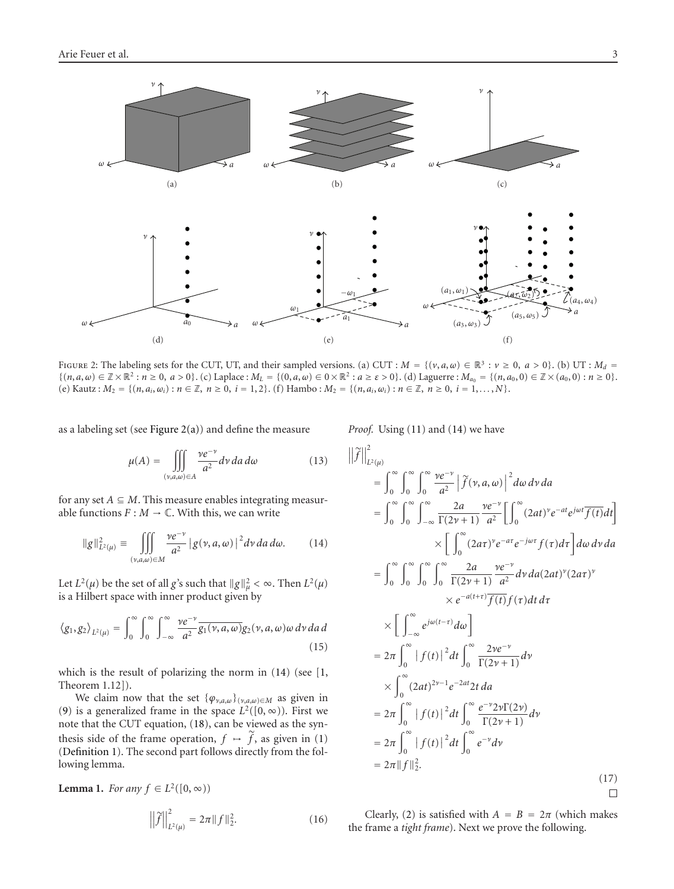<span id="page-2-0"></span>

FIGURE 2: The labeling sets for the CUT, UT, and their sampled versions. (a) CUT :  $M = \{ (v, a, \omega) \in \mathbb{R}^3 : v \ge 0, a > 0 \}$ . (b) UT :  $M_d$  $\{(n, a, \omega) \in \mathbb{Z} \times \mathbb{R}^2 : n \ge 0, a > 0\}$ . (c) Laplace :  $M_L = \{(0, a, \omega) \in 0 \times \mathbb{R}^2 : a \ge \varepsilon > 0\}$ . (d) Laguerre :  $M_{a_0} = \{(n, a_0, 0) \in \mathbb{Z} \times (a_0, 0) : n \ge 0\}$ . (e) Kautz:  $M_2 = \{(n, a_i, \omega_i) : n \in \mathbb{Z}, n \ge 0, i = 1, 2\}$ . (f) Hambo:  $M_2 = \{(n, a_i, \omega_i) : n \in \mathbb{Z}, n \ge 0, i = 1, ..., N\}$ .

as a labeling set (see Figure  $2(a)$ ) and define the measure

$$
\mu(A) = \iiint\limits_{(\nu,a,\omega)\in A} \frac{\nu e^{-\nu}}{a^2} d\nu da d\omega
$$
 (13)

for any set  $A \subseteq M$ . This measure enables integrating measurable functions  $F : M \to \mathbb{C}$ . With this, we can write

$$
\|g\|_{L^2(\mu)}^2 \equiv \iiint\limits_{(\nu,a,\omega)\in M} \frac{\nu e^{-\nu}}{a^2} |g(\nu,a,\omega)|^2 d\nu da d\omega.
$$
 (14)

Let  $L^2(\mu)$  be the set of all *g*'s such that  $||g||^2_{\mu} < \infty$ . Then  $L^2(\mu)$ is a Hilbert space with inner product given by

$$
\langle g_1, g_2 \rangle_{L^2(\mu)} = \int_0^\infty \int_0^\infty \int_{-\infty}^\infty \frac{\gamma e^{-\gamma}}{a^2} \overline{g_1(\gamma, a, \omega)} g_2(\gamma, a, \omega) \omega \, d\gamma \, da \, d\math> (15)
$$

which is the result of polarizing the norm in (14) (see [\[1,](#page-7-0) Theorem 1.12]).

We claim now that the set  $\{\varphi_{\nu,a,\omega}\}_{(\nu,a,\omega)\in M}$  as given in [\(9\)](#page-1-0) is a generalized frame in the space  $L^2([0,\infty))$ . First we note that the CUT equation, [\(18\)](#page-3-0), can be viewed as the syn-(9) is a generalized frame in the space  $L^2([0, \infty))$ . First we note that the CUT equation, (18), can be viewed as the synthesis side of the frame operation,  $f \mapsto \tilde{f}$ , as given in [\(1\)](#page-0-0) [\(Definition 1\)](#page-0-0). The second part follows directly from the following lemma.

**Lemma 1.** *For any*  $f \in L^2([0, \infty))$ <br> $||\tilde{f}||^2 = 2\pi$ 

$$
\left\| \widetilde{f} \right\|_{L^2(\mu)}^2 = 2\pi \| f \|_{2}^2. \tag{16}
$$

*Proof.* Using [\(11\)](#page-1-0) and (14) we have p<sub>re</sub><br>|| j  $\overline{a}$ 

$$
\left\| \int_{L^2(\mu)}^2 \right\|_{L^2(\mu)}^2
$$
\n
$$
= \int_0^\infty \int_0^\infty \int_0^\infty \frac{ve^{-\nu}}{a^2} \left| \int_0^\infty (v, a, \omega) \right|^2 d\omega \, dv \, da
$$
\n
$$
= \int_0^\infty \int_0^\infty \int_{-\infty}^\infty \frac{2a}{\Gamma(2\nu + 1)} \frac{ve^{-\nu}}{a^2} \left[ \int_0^\infty (2at)^{\nu} e^{-at} e^{j\omega t} \overline{f(t)} dt \right]
$$
\n
$$
\times \left[ \int_0^\infty (2at)^{\nu} e^{-at} e^{-j\omega \tau} f(\tau) d\tau \right] d\omega \, dv \, da
$$
\n
$$
= \int_0^\infty \int_0^\infty \int_0^\infty \int_0^\infty \frac{2a}{\Gamma(2\nu + 1)} \frac{ve^{-\nu}}{a^2} dv \, da (2at)^{\nu} (2at)^{\nu}
$$
\n
$$
\times e^{-a(t + \tau)} \overline{f(t)} f(\tau) dt \, d\tau
$$
\n
$$
\times \left[ \int_{-\infty}^\infty e^{j\omega(t - \tau)} d\omega \right]
$$
\n
$$
= 2\pi \int_0^\infty |f(t)|^2 dt \int_0^\infty \frac{2ve^{-\nu}}{\Gamma(2\nu + 1)} d\nu
$$
\n
$$
\times \int_0^\infty (2at)^{2\nu - 1} e^{-2at} 2t \, da
$$
\n
$$
= 2\pi \int_0^\infty |f(t)|^2 dt \int_0^\infty \frac{e^{-\nu} 2\nu \Gamma(2\nu)}{\Gamma(2\nu + 1)} d\nu
$$
\n
$$
= 2\pi \int_0^\infty |f(t)|^2 dt \int_0^\infty e^{-\nu} d\nu
$$
\n
$$
= 2\pi ||f||_2^2.
$$
\n(17)

Clearly, [\(2\)](#page-0-0) is satisfied with  $A = B = 2\pi$  (which makes the frame a *tight frame*). Next we prove the following.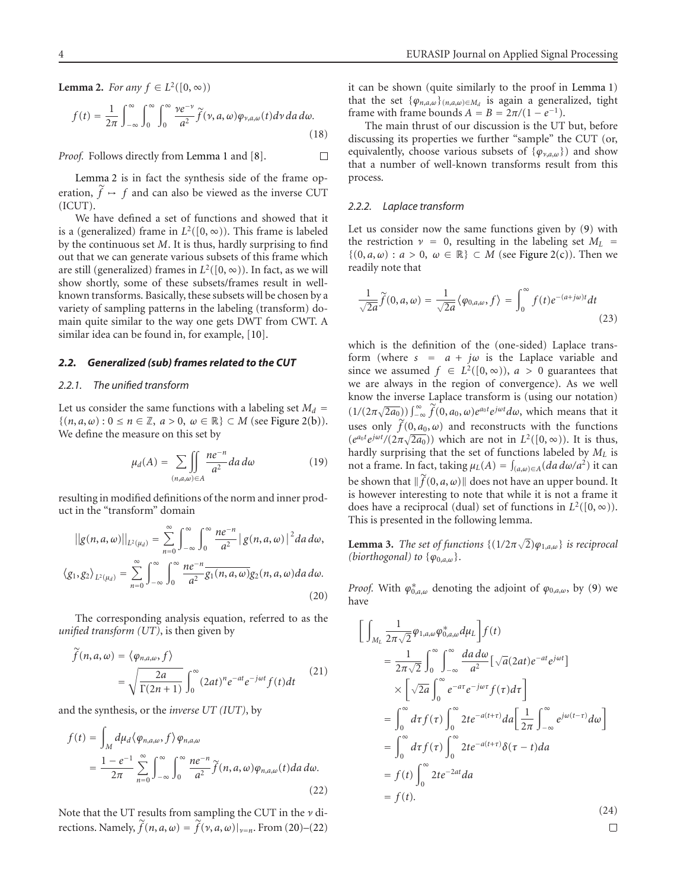<span id="page-3-0"></span>**Lemma 2.** For any 
$$
f \in L^2([0, \infty))
$$
  

$$
f(t) = \frac{1}{2\pi} \int_{-\infty}^{\infty} \int_0^{\infty} \int_0^{\infty} \frac{\gamma e^{-\gamma}}{a^2} \widetilde{f}(\gamma, a, \omega) \varphi_{\gamma, a, \omega}(t) d\gamma d a d\omega.
$$
(18)

*Proof.* Follows directly from [Lemma 1](#page-2-0) and [\[8](#page-7-0)]. П

[Lemma 2](#page-2-0) is in fact the synthesis side of the frame op-*Proof.* Follows directly from Lemma 1 and [8]. <br>
Lemma 2 is in fact the synthesis side of the frame operation,  $\tilde{f} \rightarrow f$  and can also be viewed as the inverse CUT (ICUT).

We have defined a set of functions and showed that it is a (generalized) frame in  $L^2([0,\infty))$ . This frame is labeled by the continuous set *M*. It is thus, hardly surprising to find out that we can generate various subsets of this frame which are still (generalized) frames in  $L^2([0, \infty))$ . In fact, as we will show shortly, some of these subsets/frames result in wellknown transforms. Basically, these subsets will be chosen by a variety of sampling patterns in the labeling (transform) domain quite similar to the way one gets DWT from CWT. A similar idea can be found in, for example, [\[10\]](#page-7-0).

#### *2.2. Generalized (sub) frames related to the CUT*

### *2.2.1. The unified transform*

Let us consider the same functions with a labeling set  $M_d$  = {(*n*, *a*, *ω*): 0 ≤ *n* ∈ Z, *a* > 0, *w* ∈ ℝ} ⊂ *M* (see [Figure 2\(b\)\)](#page-2-0).<br>We define the measure on this set by<br> $\mu_d(A) = \sum \left[ \int \frac{ne^{-n}}{a^2} da \, d\omega \right]$  (19) We define the measure on this set by

$$
\mu_d(A) = \sum_{(n,a,\omega)\in A} \iint_{a^2} \frac{ne^{-n}}{a^2} da \, d\omega \tag{19}
$$

resulting in modified definitions of the norm and inner prodresulting in modified definition<br>uct in the "transform" domain<br> $||g(n, a, \omega)||_{L^2(\mu_d)} = \sum_{n=1}^{\infty} \int_{a}^{\infty}$ 

$$
||g(n, a, \omega)||_{L^2(\mu_d)} = \sum_{n=0}^{\infty} \int_{-\infty}^{\infty} \int_{0}^{\infty} \frac{ne^{-n}}{a^2} |g(n, a, \omega)|^2 da d\omega,
$$
  

$$
\langle g_1, g_2 \rangle_{L^2(\mu_d)} = \sum_{n=0}^{\infty} \int_{-\infty}^{\infty} \int_{0}^{\infty} \frac{ne^{-n}}{a^2} \overline{g_1(n, a, \omega)} g_2(n, a, \omega) da d\omega.
$$
 (20)

The corresponding analysis equation, referred to as the *unified transform (UT)*, is then given by The corresponent *fied transform*<br> $\widetilde{f}(n, a, \omega) = \langle a, a \rangle$  $\eta$ 

$$
\tilde{f}(n, a, \omega) = \langle \varphi_{n, a, \omega}, f \rangle
$$
\n
$$
= \sqrt{\frac{2a}{\Gamma(2n+1)}} \int_0^\infty (2at)^n e^{-at} e^{-j\omega t} f(t) dt \qquad (21)
$$

and the synthesis, or the *inverse UT (IUT)*, by

$$
f(t) = \int_M d\mu_d \langle \varphi_{n,a,\omega}, f \rangle \varphi_{n,a,\omega}
$$
  
= 
$$
\frac{1 - e^{-1}}{2\pi} \sum_{n=0}^{\infty} \int_{-\infty}^{\infty} \int_0^{\infty} \frac{n e^{-n}}{a^2} \widetilde{f}(n, a, \omega) \varphi_{n,a,\omega}(t) da d\omega.
$$
 (22)

Note that the UT results from sampling the CUT in the *ν* di-Note that the UT results from sampling the CUT in the  $\nu$  directions. Namely,  $\widetilde{f}(n, a, \omega) = \widetilde{f}(\nu, a, \omega)|_{\nu=n}$ . From (20)–(22) it can be shown (quite similarly to the proof in [Lemma 1\)](#page-2-0) that the set  $\{\varphi_{n,a,\omega}\}_{(n,a,\omega)\in M_d}$  is again a generalized, tight frame with frame bounds  $A = B = 2\pi/(1 - e^{-1})$ .

The main thrust of our discussion is the UT but, before discussing its properties we further "sample" the CUT (or, equivalently, choose various subsets of  $\{\varphi_{\nu,a,\omega}\}\)$  and show that a number of well-known transforms result from this process.

#### *2.2.2. Laplace transform*

Let us consider now the same functions given by [\(9\)](#page-1-0) with the restriction  $\nu = 0$ , resulting in the labeling set  $M_L$  $\{(0, a, \omega) : a > 0, \omega \in \mathbb{R}\} \subset M$  (see [Figure 2\(c\)\)](#page-2-0). Then we readily note that -

$$
\frac{1}{\sqrt{2a}}\widetilde{f}(0,a,\omega)=\frac{1}{\sqrt{2a}}\langle\varphi_{0,a,\omega},f\rangle=\int_0^\infty f(t)e^{-(a+j\omega)t}dt\tag{23}
$$

which is the definition of the (one-sided) Laplace transform (where  $s = a + j\omega$  is the Laplace variable and since we assumed  $f \in L^2([0,\infty))$ ,  $a > 0$  guarantees that we are always in the region of convergence). As we well know the inverse Laplace transform is (using our notation) (1*/*(2*π e* assumed *f* ∈ *L*<sup>2</sup>({0, ∞)), *a* > 0 guarantees that always in the region of convergence). As we well the inverse Laplace transform is (using our notation)  $\overline{2a_0}$ ))  $\int_{-\infty}^{\infty} \tilde{f}(0, a_0, \omega) e^{a_0 t} e^{j\omega t} d\omega$ know the in<br>  $(1/(2\pi\sqrt{2a_0}))$ <br>
uses only  $\tilde{f}$ uses only  $\tilde{f}(0, a_0, \omega)$  and reconstructs with the functions  $(e^{a_0t}e^{j\omega t}/(2\pi\sqrt{2a_0}))$  which are not in  $L^2([0,\infty))$ . It is thus, hardly surprising that the set of functions labeled by *ML* is uses only  $\hat{f}(0, a_0, \omega)$  and reconstructs with the functions  $(e^{a_0 t}e^{j\omega t}/(2\pi\sqrt{2a_0}))$  which are not in  $L^2([0, \infty))$ . It is thus, hardly surprising that the set of functions labeled by  $M_L$  is not a frame. In fact, hardly surprising that the set of functions labeled by  $M_L$  is<br>not a frame. In fact, taking  $\mu_L(A) = \int_{(a,\omega)\in A} (da \, d\omega/a^2)$  it can<br>be shown that  $\|\tilde{f}(0, a, \omega)\|$  does not have an upper bound. It is however interesting to note that while it is not a frame it does have a reciprocal (dual) set of functions in  $L^2([0,\infty))$ . This is presented in the following lemma.

**Lemma 3.** *The set of functions*  $\{(1/2\pi\sqrt{2})\varphi_{1,a,\omega}\}\)$  *is reciprocal (biorthogonal) to* {*ϕ*0,*a*,*ω*}*.*

*Proof.* With  $\varphi_{0,a,\omega}^*$  denoting the adjoint of  $\varphi_{0,a,\omega}$ , by [\(9\)](#page-1-0) we have have

$$
\int_{M_L} \frac{1}{2\pi\sqrt{2}} \varphi_{1,a,\omega} \varphi_{0,a,\omega}^* d\mu_L \Big] f(t)
$$
\n
$$
= \frac{1}{2\pi\sqrt{2}} \int_0^\infty \int_{-\infty}^\infty \frac{da \, d\omega}{a^2} [\sqrt{a}(2at)e^{-at}e^{j\omega t}]
$$
\n
$$
\times [\sqrt{2a} \int_0^\infty e^{-ar}e^{-j\omega\tau} f(\tau) d\tau]
$$
\n
$$
= \int_0^\infty d\tau f(\tau) \int_0^\infty 2te^{-a(t+\tau)} da \Big[ \frac{1}{2\pi} \int_{-\infty}^\infty e^{j\omega(t-\tau)} d\omega \Big]
$$
\n
$$
= \int_0^\infty d\tau f(\tau) \int_0^\infty 2te^{-a(t+\tau)} \delta(\tau - t) da
$$
\n
$$
= f(t) \int_0^\infty 2te^{-2at} da
$$
\n
$$
= f(t).
$$
\n(24)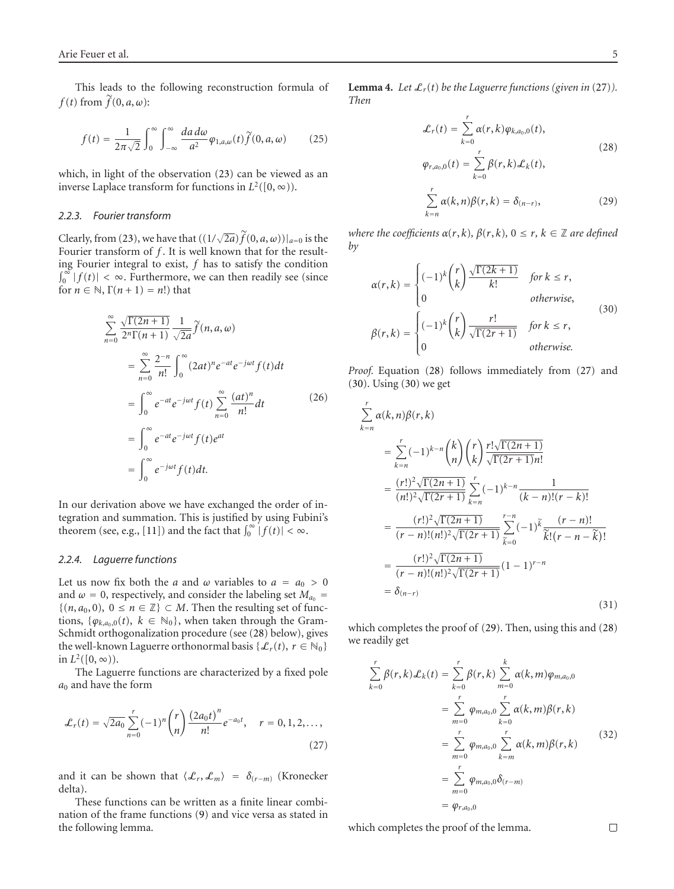This leads to the following reconstruction formula of *f* (*t*) from  $\tilde{f}$  (0, *a*, *ω*):

from 
$$
f(0, a, \omega)
$$
:  
\n
$$
f(t) = \frac{1}{2\pi\sqrt{2}} \int_0^\infty \int_{-\infty}^\infty \frac{da \, d\omega}{a^2} \varphi_{1, a, \omega}(t) \tilde{f}(0, a, \omega) \qquad (25)
$$

which, in light of the observation [\(23\)](#page-3-0) can be viewed as an inverse Laplace transform for functions in  $L^2([0, \infty))$ .

### *2.2.3. Fourier transform*

Clearly, from [\(23\)](#page-3-0), we have that  $((1/\sqrt{2}))$ 2.2.3. Fourier transform<br>Clearly, from (23), we have that  $((1/\sqrt{2a})\widetilde{f}(0, a, \omega))|_{a=0}$  is the Fourier transform of *f*. It is well known that for the resulting Fourier integral to exist, *f* has to satisfy the condition  $\int_0^\infty |f(t)| < \infty$ . Furthermore, we can then readily see (since for  $n \in \mathbb{N}$ ,  $\Gamma(n+1) = n!$ ) that

$$
\sum_{n=0}^{\infty} \frac{\sqrt{\Gamma(2n+1)}}{2^n \Gamma(n+1)} \frac{1}{\sqrt{2a}} \widetilde{f}(n, a, \omega)
$$
  

$$
= \sum_{n=0}^{\infty} \frac{2^{-n}}{n!} \int_{0}^{\infty} (2at)^n e^{-at} e^{-j\omega t} f(t) dt
$$
  

$$
= \int_{0}^{\infty} e^{-at} e^{-j\omega t} f(t) \sum_{n=0}^{\infty} \frac{(at)^n}{n!} dt
$$
  

$$
= \int_{0}^{\infty} e^{-at} e^{-j\omega t} f(t) e^{at}
$$
  

$$
= \int_{0}^{\infty} e^{-j\omega t} f(t) dt.
$$
 (26)

In our derivation above we have exchanged the order of integration and summation. This is justified by using Fubini's In our derivation above we have exchanged the order of tegration and summation. This is justified by using Fub theorem (see, e.g., [\[11\]](#page-7-0)) and the fact that  $\int_0^\infty |f(t)| < \infty$ .

#### *2.2.4. Laguerre functions*

Let us now fix both the *a* and  $\omega$  variables to  $a = a_0 > 0$ and  $\omega = 0$ , respectively, and consider the labeling set  $M_{a_0}$  =  $\{(n, a_0, 0), 0 \le n \in \mathbb{Z}\} \subset M$ . Then the resulting set of functions, { $\varphi_{k,a_0,0}(t)$ ,  $k \in \mathbb{N}_0$ }, when taken through the Gram-Schmidt orthogonalization procedure (see (28) below), gives the well-known Laguerre orthonormal basis { $\mathcal{L}_r(t)$ ,  $r \in \mathbb{N}_0$ } in  $L^2([0, \infty))$ .

The Laguerre functions are characterized by a fixed pole 

$$
a_0
$$
 and have the form  
\n
$$
\mathcal{L}_r(t) = \sqrt{2a_0} \sum_{n=0}^r (-1)^n \binom{r}{n} \frac{(2a_0 t)^n}{n!} e^{-a_0 t}, \quad r = 0, 1, 2, \dots,
$$
\n(27)

and it can be shown that  $\langle \mathcal{L}_r, \mathcal{L}_m \rangle = \delta_{(r-m)}$  (Kronecker delta).

These functions can be written as a finite linear combination of the frame functions [\(9\)](#page-1-0) and vice versa as stated in the following lemma.

**Lemma 4.** *Let*  $\mathcal{L}_r(t)$  *be the Laguerre functions (given in (27)).*<br> *Then*<br>  $\mathcal{L}_r(t) = \sum_{r=1}^{r} \alpha(r, k) \varphi_{k, a_0, 0}(t),$ *Then*

$$
\mathcal{L}_r(t) = \sum_{k=0}^r \alpha(r, k) \varphi_{k, a_0, 0}(t),
$$
\n
$$
\varphi_{r, a_0, 0}(t) = \sum_{k=0}^r \beta(r, k) \mathcal{L}_k(t),
$$
\n
$$
\sum_{k=n}^r \alpha(k, n) \beta(r, k) = \delta_{(n-r)},
$$
\n(29)

*where the coefficients*  $α(r, k)$ *,*  $β(r, k)$ *,*  $0 \le r$ *,*  $k \in \mathbb{Z}$  *are defined* by *by*

$$
\alpha(r,k) = \begin{cases}\n(-1)^k \binom{r}{k} \frac{\sqrt{\Gamma(2k+1)}}{k!} & \text{for } k \le r, \\
0 & \text{otherwise,} \\
\beta(r,k) = \begin{cases}\n(-1)^k \binom{r}{k} \frac{r!}{\sqrt{\Gamma(2r+1)}} & \text{for } k \le r, \\
0 & \text{otherwise.} \n\end{cases}\n\end{cases}
$$
\n(30)

*Proof.* Equation (28) follows immediately from (27) and (30). Using (30) we get

 $\bar{\mathbf{z}}$ 

$$
\sum_{k=n}^{r} \alpha(k,n)\beta(r,k)
$$
\n
$$
= \sum_{k=n}^{r} (-1)^{k-n} {k \choose n} {r \choose k} \frac{r! \sqrt{\Gamma(2n+1)}}{\sqrt{\Gamma(2r+1)}n!}
$$
\n
$$
= \frac{(r!)^{2} \sqrt{\Gamma(2n+1)}}{(n!)^{2} \sqrt{\Gamma(2r+1)}} \sum_{k=n}^{r} (-1)^{k-n} \frac{1}{(k-n)!(r-k)!}
$$
\n
$$
= \frac{(r!)^{2} \sqrt{\Gamma(2n+1)}}{(r-n)!(n!)^{2} \sqrt{\Gamma(2r+1)}} \sum_{k=0}^{r-n} (-1)^{k} \frac{(r-n)!}{k!(r-n-k)!}
$$
\n
$$
= \frac{(r!)^{2} \sqrt{\Gamma(2n+1)}}{(r-n)!(n!)^{2} \sqrt{\Gamma(2r+1)}} (1-1)^{r-n}
$$
\n
$$
= \delta_{(n-r)}
$$
\n(31)

which completes the proof of (29). Then, using this and (28) we readily get

$$
\sum_{k=0}^{r} \beta(r,k) \mathcal{L}_k(t) = \sum_{k=0}^{r} \beta(r,k) \sum_{m=0}^{k} \alpha(k,m) \varphi_{m,a_0,0}
$$
\n
$$
= \sum_{m=0}^{r} \varphi_{m,a_0,0} \sum_{k=0}^{r} \alpha(k,m) \beta(r,k)
$$
\n
$$
= \sum_{m=0}^{r} \varphi_{m,a_0,0} \sum_{k=m}^{r} \alpha(k,m) \beta(r,k)
$$
\n
$$
= \sum_{m=0}^{r} \varphi_{m,a_0,0} \delta_{(r-m)}
$$
\n
$$
= \varphi_{r,a_0,0}
$$
\n(32)

which completes the proof of the lemma.

 $\Box$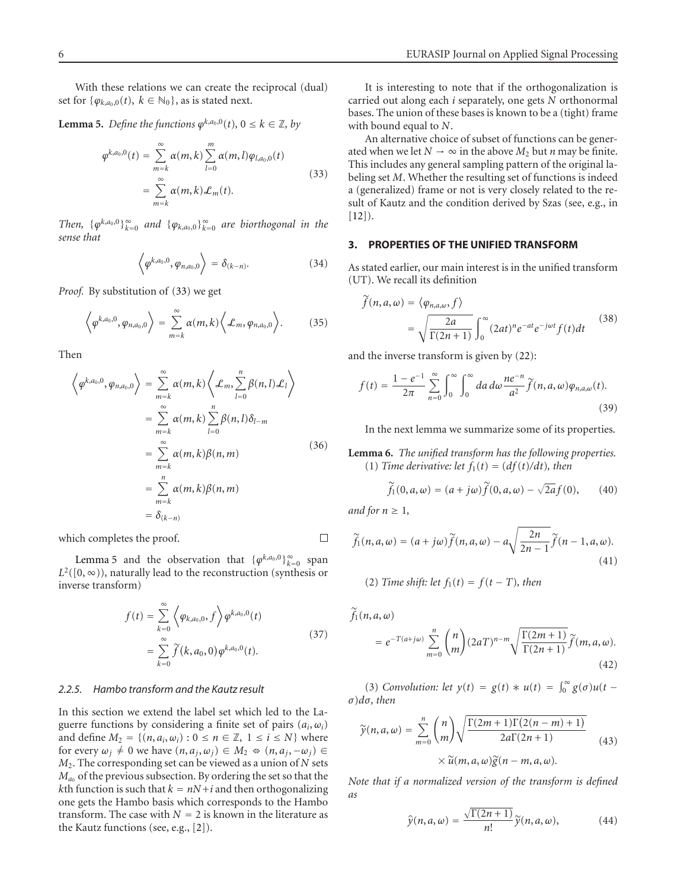<span id="page-5-0"></span>With these relations we can create the reciprocal (dual) set for  $\{\varphi_{k,a_0,0}(t), k \in \mathbb{N}_0\}$ , as is stated next.

**Lemma 5.** Define the functions 
$$
\varphi^{k,a_0,0}(t)
$$
,  $0 \le k \in \mathbb{Z}$ , by  
\n
$$
\varphi^{k,a_0,0}(t) = \sum_{m=k}^{\infty} \alpha(m,k) \sum_{l=0}^{m} \alpha(m,l) \varphi_{l,a_0,0}(t)
$$
\n
$$
= \sum_{m=k}^{\infty} \alpha(m,k) \mathcal{L}_m(t).
$$
\n(33)

*Then,*  $\{\varphi^{k, a_0, 0}\}_{k=0}^{\infty}$  *and*  $\{\varphi_{k, a_0, 0}\}_{k=0}^{\infty}$  *are biorthogonal in the*<br>  $\langle \varphi^{k, a_0, 0}, \varphi_{n, a_0, 0} \rangle = \delta_{(k-n)}$ . (34) *sense that*

$$
\left\langle \varphi^{k,a_0,0},\varphi_{n,a_0,0}\right\rangle =\delta_{(k-n)}.\tag{34}
$$

*Proof.* By substitution of (33) we get

By substitution of (33) we get  
\n
$$
\left\langle \varphi^{k,a_0,0}, \varphi_{n,a_0,0} \right\rangle = \sum_{m=k}^{\infty} \alpha(m,k) \left\langle \mathcal{L}_m, \varphi_{n,a_0,0} \right\rangle. \tag{35}
$$

Then

en  
\n
$$
\left\langle \varphi^{k,a_0,0}, \varphi_{n,a_0,0} \right\rangle = \sum_{m=k}^{\infty} \alpha(m,k) \left\langle \mathcal{L}_m, \sum_{l=0}^n \beta(n,l) \mathcal{L}_l \right\rangle
$$
\n
$$
= \sum_{m=k}^{\infty} \alpha(m,k) \sum_{l=0}^n \beta(n,l) \delta_{l-m}
$$
\n
$$
= \sum_{m=k}^{\infty} \alpha(m,k) \beta(n,m) \tag{36}
$$
\n
$$
= \sum_{m=k}^n \alpha(m,k) \beta(n,m)
$$
\n
$$
= \delta_{(k-n)}
$$

which completes the proof.

Lemma 5 and the observation that  $\{\varphi^{k, a_0, 0}\}_{k=0}^{\infty}$  span *L*<sup>2</sup>([0, ∞)), naturally lead to the reconstruction (synthesis or<br>inverse transform)<br> $f(t) = \sum_{n=0}^{\infty} \left\langle \varphi_{k,a_0,0}, f \right\rangle \varphi^{k,a_0,0}(t)$ inverse transform)

$$
f(t) = \sum_{k=0}^{\infty} \left\langle \varphi_{k,a_0,0}, f \right\rangle \varphi^{k,a_0,0}(t)
$$
  
= 
$$
\sum_{k=0}^{\infty} \widetilde{f}(k,a_0,0) \varphi^{k,a_0,0}(t).
$$
 (37)

## *2.2.5. Hambo transform and the Kautz result*

In this section we extend the label set which led to the Laguerre functions by considering a finite set of pairs  $(a_i, \omega_i)$ and define  $M_2 = \{(n, a_i, \omega_i): 0 \le n \in \mathbb{Z}, 1 \le i \le N\}$  where for every  $\omega_j \neq 0$  we have  $(n, a_j, \omega_j) \in M_2 \Leftrightarrow (n, a_j, -\omega_j) \in$ *M*2. The corresponding set can be viewed as a union of *N* sets  $M_{a_0}$  of the previous subsection. By ordering the set so that the *k*th function is such that  $k = nN + i$  and then orthogonalizing one gets the Hambo basis which corresponds to the Hambo transform. The case with  $N = 2$  is known in the literature as the Kautz functions (see, e.g., [\[2\]](#page-7-0)).

It is interesting to note that if the orthogonalization is carried out along each *i* separately, one gets *N* orthonormal bases. The union of these bases is known to be a (tight) frame with bound equal to *N*.

An alternative choice of subset of functions can be generated when we let  $N \to \infty$  in the above  $M_2$  but *n* may be finite. This includes any general sampling pattern of the original labeling set *M*. Whether the resulting set of functions is indeed a (generalized) frame or not is very closely related to the result of Kautz and the condition derived by Szas (see, e.g., in  $[12]$  $[12]$ ).

## **3. PROPERTIES OF THE UNIFIED TRANSFORM**

As stated earlier, our main interest is in the unified transform<br>
(UT). We recall its definition<br>  $\tilde{f}(n, a, \omega) = \langle \varphi_{n, a, \omega}, f \rangle$ (UT). We recall its definition

$$
\widetilde{f}(n, a, \omega) = \langle \varphi_{n, a, \omega}, f \rangle
$$
\n
$$
= \sqrt{\frac{2a}{\Gamma(2n+1)}} \int_0^\infty (2at)^n e^{-at} e^{-j\omega t} f(t) dt \qquad (38)
$$

and the inverse transform is given by (22):  
\n
$$
f(t) = \frac{1 - e^{-1}}{2\pi} \sum_{n=0}^{\infty} \int_{0}^{\infty} \int_{0}^{\infty} da \, d\omega \frac{ne^{-n}}{a^2} \widetilde{f}(n, a, \omega) \varphi_{n, a, \omega}(t).
$$
\n(39)

In the next lemma we summarize some of its properties.

**Lemma 6.** *The unified transform has the following properties.* -(1) *Time derivative: let*  $f_1(t) = \frac{df(t)}{dt}$ , then *f***<sub>1</sub> (***n i f*<sub>1</sub>(*t*) *f*<sub>1</sub>(*t*) *f*<sub>1</sub>(*t*) *f*<sub>1</sub>(*t*) *f*<sub>1</sub>(*t*) *f*<sub>1</sub>(*t*) *f*<sub>1</sub>(*t*) *f*<sub>1</sub>(*t*) *f*<sub>1</sub>(*t*) *f*<sub>1</sub>(*t*) *f*<sub>1</sub>(*t*) *f*<sub>1</sub>(*t*) *f*<sub>1</sub>(*t*) *f*<sub>1</sub>(*t*) *f*<sub>1</sub>(*t*) *f*<sub>1</sub>(*t*) *f*<sub>1</sub>(*t*)

$$
\widetilde{f}_1(0, a, \omega) = (a + j\omega)\widetilde{f}(0, a, \omega) - \sqrt{2a}f(0), \qquad (40)
$$

 $\Box$ 

and for 
$$
n \ge 1
$$
,  
\n
$$
\widetilde{f}_1(n, a, \omega) = (a + j\omega) \widetilde{f}(n, a, \omega) - a \sqrt{\frac{2n}{2n - 1}} \widetilde{f}(n - 1, a, \omega).
$$
\n(41)

(2) *Time shift: let*  $f_1(t) = f(t - T)$ *, then* 

$$
\widetilde{f}_1(n, a, \omega)
$$
\n
$$
= e^{-T(a+j\omega)} \sum_{m=0}^n {n \choose m} (2aT)^{n-m} \sqrt{\frac{\Gamma(2m+1)}{\Gamma(2n+1)}} \widetilde{f}(m, a, \omega).
$$
\n(42)\n
$$
(3) Convolution: let \ y(t) = g(t) * u(t) = \int_0^\infty g(\sigma) u(t - \sigma) d\sigma, then
$$
\n
$$
\widetilde{y}(n, a, \omega) = \sum_{m=0}^n {n \choose m} \sqrt{\frac{\Gamma(2m+1)\Gamma(2(n-m)+1)}{2\Gamma(2m+1)\Gamma(2(n-m)+1)}}
$$

*σ*)*dσ, then*

$$
d\sigma, \text{ then}
$$
\n
$$
\widetilde{\gamma}(n, a, \omega) = \sum_{m=0}^{n} {n \choose m} \sqrt{\frac{\Gamma(2m+1)\Gamma(2(n-m)+1)}{2a\Gamma(2n+1)}} \times \widetilde{u}(m, a, \omega) \widetilde{g}(n-m, a, \omega). \tag{43}
$$

*Note that if a normalized version of the transform is defined as*

$$
\hat{y}(n, a, \omega) = \frac{\sqrt{\Gamma(2n+1)}}{n!} \tilde{y}(n, a, \omega),
$$
\n(44)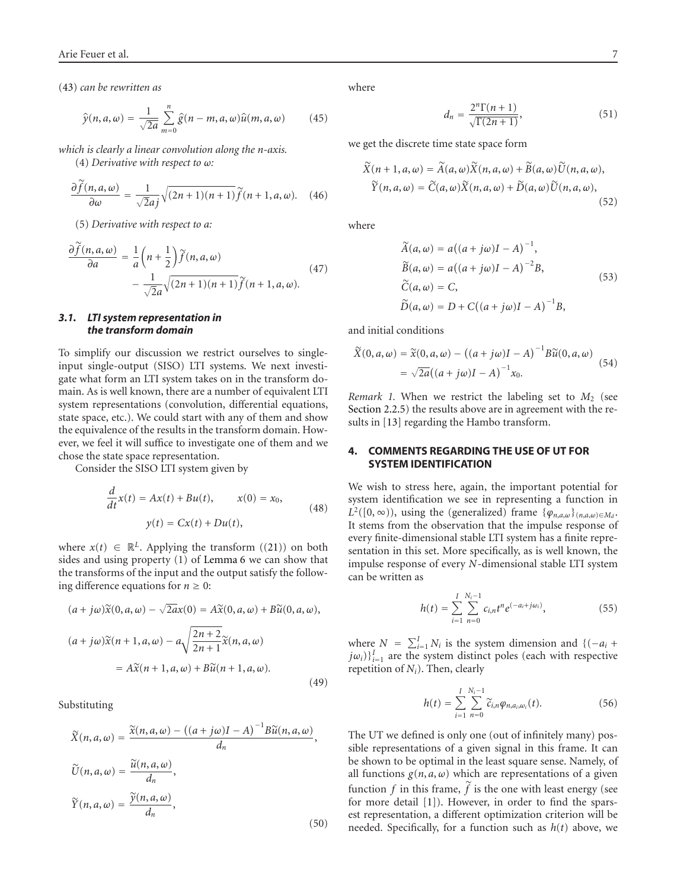(43) can be rewritten as  
\n
$$
\hat{y}(n, a, \omega) = \frac{1}{\sqrt{2a}} \sum_{m=0}^{n} \hat{g}(n - m, a, \omega) \hat{u}(m, a, \omega)
$$
\n(45)

*which is clearly a linear convolution along the n-axis.* !

(d) Derivative with respect to 
$$
\omega
$$
:  
\n
$$
\frac{\partial \widetilde{f}(n, a, \omega)}{\partial \omega} = \frac{1}{\sqrt{2}aj} \sqrt{(2n+1)(n+1)} \widetilde{f}(n+1, a, \omega). \quad (46)
$$

(5) Derivative with respect to a:  
\n
$$
\frac{\partial \widetilde{f}(n, a, \omega)}{\partial a} = \frac{1}{a} \left( n + \frac{1}{2} \right) \widetilde{f}(n, a, \omega) - \frac{1}{\sqrt{2}a} \sqrt{(2n+1)(n+1)} \widetilde{f}(n+1, a, \omega).
$$
\n(47)

# *3.1. LTI system representation in the transform domain*

To simplify our discussion we restrict ourselves to singleinput single-output (SISO) LTI systems. We next investigate what form an LTI system takes on in the transform domain. As is well known, there are a number of equivalent LTI system representations (convolution, differential equations, state space, etc.). We could start with any of them and show the equivalence of the results in the transform domain. However, we feel it will suffice to investigate one of them and we chose the state space representation.

Consider the SISO LTI system given by

$$
\frac{d}{dt}x(t) = Ax(t) + Bu(t), \qquad x(0) = x_0,
$$
  

$$
y(t) = Cx(t) + Du(t), \qquad (48)
$$

where  $x(t) \in \mathbb{R}^L$ . Applying the transform  $((21))$  $((21))$  $((21))$  on both sides and using property (1) of [Lemma 6](#page-5-0) we can show that the transforms of the input and the output satisfy the following difference equations for  $n \ge 0$ :<br>  $(a + j\omega)\tilde{x}(0, a, \omega) - \sqrt{2a}x(0) = A\tilde{x}$ (0, *a*, *ω*) + *B* $\widetilde{u}$  $\ddot{\phantom{a}}$ 

$$
(a + j\omega)\tilde{x}(0, a, \omega) - \sqrt{2a}x(0) = A\tilde{x}(0, a, \omega) + B\tilde{u}(0, a, \omega),
$$
  

$$
(a + j\omega)\tilde{x}(n + 1, a, \omega) - a\sqrt{\frac{2n + 2}{2n + 1}}\tilde{x}(n, a, \omega)
$$
  

$$
= A\tilde{x}(n + 1, a, \omega) + B\tilde{u}(n + 1, a, \omega).
$$
 (49)

Substituting  
\n
$$
\widetilde{X}(n, a, \omega) = \frac{\widetilde{x}(n, a, \omega) - ((a + j\omega)I - A)^{-1}B\widetilde{u}(n, a, \omega)}{d_n},
$$
\n
$$
\widetilde{U}(n, a, \omega) = \frac{\widetilde{u}(n, a, \omega)}{d_n},
$$
\n
$$
\widetilde{Y}(n, a, \omega) = \frac{\widetilde{y}(n, a, \omega)}{d_n},
$$
\n(50)

where

$$
d_n = \frac{2^n \Gamma(n+1)}{\sqrt{\Gamma(2n+1)}},\tag{51}
$$

we get the discrete time state space form  
\n
$$
\widetilde{X}(n+1, a, \omega) = \widetilde{A}(a, \omega) \widetilde{X}(n, a, \omega) + \widetilde{B}(a, \omega) \widetilde{U}(n, a, \omega),
$$
\n
$$
\widetilde{Y}(n, a, \omega) = \widetilde{C}(a, \omega) \widetilde{X}(n, a, \omega) + \widetilde{D}(a, \omega) \widetilde{U}(n, a, \omega),
$$
\n(52)

where

$$
\widetilde{A}(a,\omega) = a((a+j\omega)I - A)^{-1},
$$
  
\n
$$
\widetilde{B}(a,\omega) = a((a+j\omega)I - A)^{-2}B,
$$
  
\n
$$
\widetilde{C}(a,\omega) = C,
$$
  
\n
$$
\widetilde{D}(a,\omega) = D + C((a+j\omega)I - A)^{-1}B,
$$
\n(53)

 $^{\circ}$ 

and initial conditions  
\n
$$
\widetilde{X}(0, a, \omega) = \widetilde{x}(0, a, \omega) - ((a + j\omega)I - A)^{-1}B\widetilde{u}(0, a, \omega)
$$
\n
$$
= \sqrt{2a}((a + j\omega)I - A)^{-1}x_0.
$$
\n(54)

*Remark 1.* When we restrict the labeling set to  $M_2$  (see [Section 2.2.5\)](#page-5-0) the results above are in agreement with the results in [\[13](#page-7-0)] regarding the Hambo transform.

# **4. COMMENTS REGARDING THE USE OF UT FOR SYSTEM IDENTIFICATION**

We wish to stress here, again, the important potential for system identification we see in representing a function in  $L^2([0, \infty))$ , using the (generalized) frame  $\{\varphi_{n,a,\omega}\}_{(n,a,\omega)\in M_d}$ . It stems from the observation that the impulse response of every finite-dimensional stable LTI system has a finite representation in this set. More specifically, as is well known, the impulse response of every *N*-dimensional stable LTI system<br>
can be written as<br>  $h(t) = \sum_{n=1}^{N} \sum_{i=1}^{N_i-1} c_{i,n} t^n e^{(-a_i+j\omega_i)},$  (55) can be written as

$$
h(t) = \sum_{i=1}^{I} \sum_{n=0}^{N_i - 1} c_{i,n} t^n e^{(-a_i + j\omega_i)},
$$
 (55)  
where  $N = \sum_{i=1}^{I} N_i$  is the system dimension and  $\{(-a_i +$ 

 $j\omega_i$ ) ${}_{i=1}^I$  are the system distinct poles (each with respective repetition of *N<sub>i</sub>*). Then, clearly<br>  $h(t) = \sum_{i=1}^{N_i-1} h(t)$ 

Then, clearly  
\n
$$
h(t) = \sum_{i=1}^{I} \sum_{n=0}^{N_i - 1} \widetilde{c}_{i,n} \varphi_{n,a_i,\omega_i}(t).
$$
\n(56)

The UT we defined is only one (out of infinitely many) possible representations of a given signal in this frame. It can be shown to be optimal in the least square sense. Namely, of all functions  $g(n, a, \omega)$  which are representations of a given be shown to be optimal in the least square sense. Namely, of all functions  $g(n, a, \omega)$  which are representations of a given function  $f$  in this frame,  $\tilde{f}$  is the one with least energy (see for more detail [\[1](#page-7-0)]). However, in order to find the sparsest representation, a different optimization criterion will be needed. Specifically, for a function such as  $h(t)$  above, we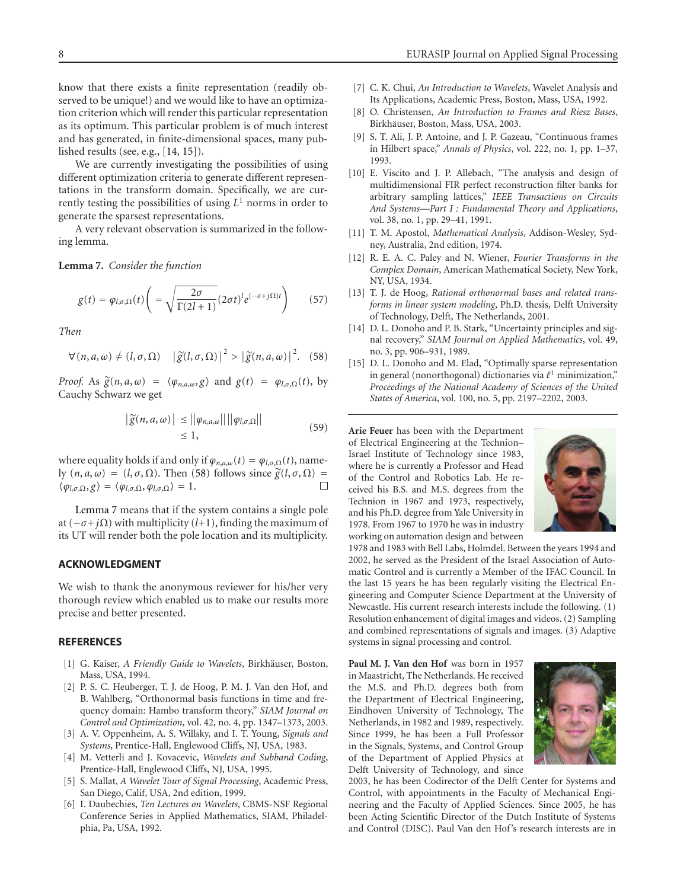<span id="page-7-0"></span>know that there exists a finite representation (readily observed to be unique!) and we would like to have an optimization criterion which will render this particular representation as its optimum. This particular problem is of much interest and has generated, in finite-dimensional spaces, many published results (see, e.g., [14, 15]).

We are currently investigating the possibilities of using different optimization criteria to generate different representations in the transform domain. Specifically, we are currently testing the possibilities of using  $L<sup>1</sup>$  norms in order to generate the sparsest representations.

A very relevant observation is summarized in the following lemma.

**Lemma 7.** *Consider the function*

$$
g(t) = \varphi_{l,\sigma,\Omega}(t) \left( = \sqrt{\frac{2\sigma}{\Gamma(2l+1)}} (2\sigma t)^l e^{(-\sigma + j\Omega)t} \right) \tag{57}
$$

*Then*

$$
\forall (n, a, \omega) \neq (l, \sigma, \Omega) \quad |\widetilde{g}(l, \sigma, \Omega)|^2 > |\widetilde{g}(n, a, \omega)|^2. \tag{58}
$$

*Proof.* As  $\tilde{g}(n, a, \omega) = \langle \varphi_{n, a, \omega}, g \rangle$  and  $g(t) = \varphi_{l, \sigma, \Omega}(t)$ , by<br>Cauchy Schwarz we get  $|\tilde{g}(n, a, \omega)| \leq ||\varphi_{n, a, \omega}|| ||\varphi_{l, \sigma, \Omega}||$ Cauchy Schwarz we get *g*-

$$
\left| \widetilde{g}(n, a, \omega) \right| \leq \left\| \varphi_{n, a, \omega} \right\| \left| \left| \varphi_{l, \sigma, \Omega} \right| \right|
$$
\n
$$
\leq 1,
$$
\n
$$
(59)
$$

where equality holds if and only if  $\varphi_{n,a,\omega}(t) = \varphi_{l,\sigma,\Omega}(t)$ , namewhere equality holds if and only if  $\varphi_{n,a,\omega}(t) = \varphi_{l,\sigma,\Omega}$ <br>ly  $(n, a, \omega) = (l, \sigma, \Omega)$ . Then (58) follows since  $\tilde{g}$ ly  $(n, a, \omega) = (l, \sigma, \Omega)$ . Then (58) follows since  $\tilde{g}(l, \sigma, \Omega) =$  $\langle \varphi_{l,\sigma,\Omega}, g \rangle = \langle \varphi_{l,\sigma,\Omega}, \varphi_{l,\sigma,\Omega} \rangle = 1.$ 

Lemma 7 means that if the system contains a single pole at  $(-\sigma + i\Omega)$  with multiplicity (*l*+1), finding the maximum of its UT will render both the pole location and its multiplicity.

## **ACKNOWLEDGMENT**

We wish to thank the anonymous reviewer for his/her very thorough review which enabled us to make our results more precise and better presented.

#### **REFERENCES**

- [1] G. Kaiser, *A Friendly Guide to Wavelets*, Birkhäuser, Boston, Mass, USA, 1994.
- [2] P. S. C. Heuberger, T. J. de Hoog, P. M. J. Van den Hof, and B. Wahlberg, "Orthonormal basis functions in time and frequency domain: Hambo transform theory," *SIAM Journal on Control and Optimization*, vol. 42, no. 4, pp. 1347–1373, 2003.
- [3] A. V. Oppenheim, A. S. Willsky, and I. T. Young, *Signals and Systems*, Prentice-Hall, Englewood Cliffs, NJ, USA, 1983.
- [4] M. Vetterli and J. Kovacevic, *Wavelets and Subband Coding*, Prentice-Hall, Englewood Cliffs, NJ, USA, 1995.
- [5] S. Mallat, *A Wavelet Tour of Signal Processing*, Academic Press, San Diego, Calif, USA, 2nd edition, 1999.
- [6] I. Daubechies, *Ten Lectures on Wavelets*, CBMS-NSF Regional Conference Series in Applied Mathematics, SIAM, Philadelphia, Pa, USA, 1992.
- [7] C. K. Chui, *An Introduction to Wavelets*, Wavelet Analysis and Its Applications, Academic Press, Boston, Mass, USA, 1992.
- [8] O. Christensen, *An Introduction to Frames and Riesz Bases*, Birkhäuser, Boston, Mass, USA, 2003.
- [9] S. T. Ali, J. P. Antoine, and J. P. Gazeau, "Continuous frames in Hilbert space," *Annals of Physics*, vol. 222, no. 1, pp. 1–37, 1993.
- [10] E. Viscito and J. P. Allebach, "The analysis and design of multidimensional FIR perfect reconstruction filter banks for arbitrary sampling lattices," *IEEE Transactions on Circuits And Systems—Part I : Fundamental Theory and Applications*, vol. 38, no. 1, pp. 29–41, 1991.
- [11] T. M. Apostol, *Mathematical Analysis*, Addison-Wesley, Sydney, Australia, 2nd edition, 1974.
- [12] R. E. A. C. Paley and N. Wiener, *Fourier Transforms in the Complex Domain*, American Mathematical Society, New York, NY, USA, 1934.
- [13] T. J. de Hoog, *Rational orthonormal bases and related transforms in linear system modeling*, Ph.D. thesis, Delft University of Technology, Delft, The Netherlands, 2001.
- [14] D. L. Donoho and P. B. Stark, "Uncertainty principles and signal recovery," *SIAM Journal on Applied Mathematics*, vol. 49, no. 3, pp. 906–931, 1989.
- [15] D. L. Donoho and M. Elad, "Optimally sparse representation in general (nonorthogonal) dictionaries via  $\ell^1$  minimization," *Proceedings of the National Academy of Sciences of the United States of America*, vol. 100, no. 5, pp. 2197–2202, 2003.

**Arie Feuer** has been with the Department of Electrical Engineering at the Technion– Israel Institute of Technology since 1983, where he is currently a Professor and Head of the Control and Robotics Lab. He received his B.S. and M.S. degrees from the Technion in 1967 and 1973, respectively, and his Ph.D. degree from Yale University in 1978. From 1967 to 1970 he was in industry working on automation design and between



1978 and 1983 with Bell Labs, Holmdel. Between the years 1994 and 2002, he served as the President of the Israel Association of Automatic Control and is currently a Member of the IFAC Council. In the last 15 years he has been regularly visiting the Electrical Engineering and Computer Science Department at the University of Newcastle. His current research interests include the following. (1) Resolution enhancement of digital images and videos. (2) Sampling and combined representations of signals and images. (3) Adaptive systems in signal processing and control.

**Paul M. J. Van den Hof** was born in 1957 in Maastricht, The Netherlands. He received the M.S. and Ph.D. degrees both from the Department of Electrical Engineering, Eindhoven University of Technology, The Netherlands, in 1982 and 1989, respectively. Since 1999, he has been a Full Professor in the Signals, Systems, and Control Group of the Department of Applied Physics at Delft University of Technology, and since



2003, he has been Codirector of the Delft Center for Systems and Control, with appointments in the Faculty of Mechanical Engineering and the Faculty of Applied Sciences. Since 2005, he has been Acting Scientific Director of the Dutch Institute of Systems and Control (DISC). Paul Van den Hof's research interests are in